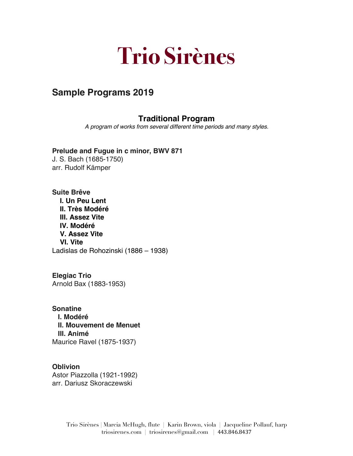# **Trio Sirènes**

# **Sample Programs 2019**

# **Traditional Program**

*A program of works from several different time periods and many styles.*

**Prelude and Fugue in c minor, BWV 871** J. S. Bach (1685-1750) arr. Rudolf Kämper

**Suite Brêve I. Un Peu Lent II. Très Modéré III. Assez Vite IV. Modéré V. Assez Vite VI. Vite**  Ladislas de Rohozinski (1886 – 1938)

**Elegiac Trio** Arnold Bax (1883-1953)

**Sonatine I. Modéré II. Mouvement de Menuet III. Animé** Maurice Ravel (1875-1937)

**Oblivion** Astor Piazzolla (1921-1992) arr. Dariusz Skoraczewski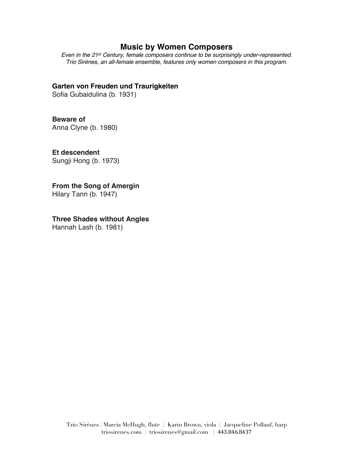#### **Music by Women Composers**

*Even in the 21st Century, female composers continue to be surprisingly under-represented. Trio Sirènes, an all-female ensemble, features only women composers in this program.*

#### **Garten von Freuden und Traurigkeiten**

Sofia Gubaidulina (b. 1931)

# **Beware of**

Anna Clyne (b. 1980)

# **Et descendent**

Sungji Hong (b. 1973)

#### **From the Song of Amergin**

Hilary Tann (b. 1947)

# **Three Shades without Angles**

Hannah Lash (b. 1981)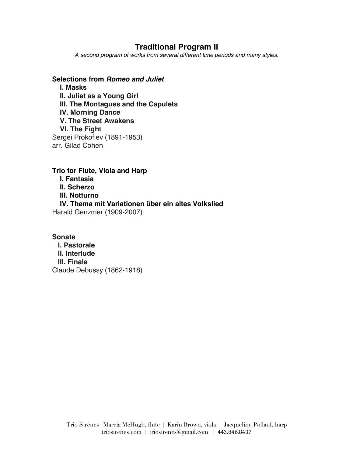## **Traditional Program II**

*A second program of works from several different time periods and many styles.*

**Selections from** *Romeo and Juliet* **I. Masks II. Juliet as a Young Girl III. The Montagues and the Capulets IV. Morning Dance V. The Street Awakens VI. The Fight** Sergei Prokofiev (1891-1953) arr. Gilad Cohen

**Trio for Flute, Viola and Harp I. Fantasia II. Scherzo III. Notturno IV. Thema mit Variationen über ein altes Volkslied** Harald Genzmer (1909-2007)

**Sonate I. Pastorale II. Interlude III. Finale** Claude Debussy (1862-1918)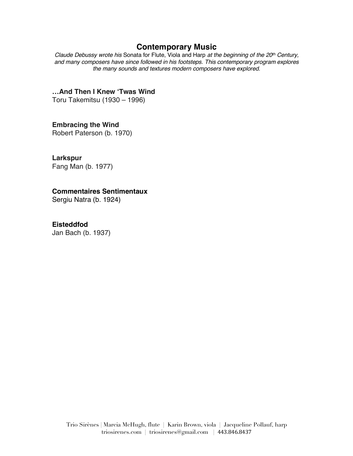## **Contemporary Music**

*Claude Debussy wrote his* Sonata for Flute, Viola and Harp *at the beginning of the 20th Century, and many composers have since followed in his footsteps. This contemporary program explores the many sounds and textures modern composers have explored.*

**…And Then I Knew 'Twas Wind**

Toru Takemitsu (1930 – 1996)

**Embracing the Wind**

Robert Paterson (b. 1970)

**Larkspur**

Fang Man (b. 1977)

#### **Commentaires Sentimentaux**

Sergiu Natra (b. 1924)

**Eisteddfod**

Jan Bach (b. 1937)